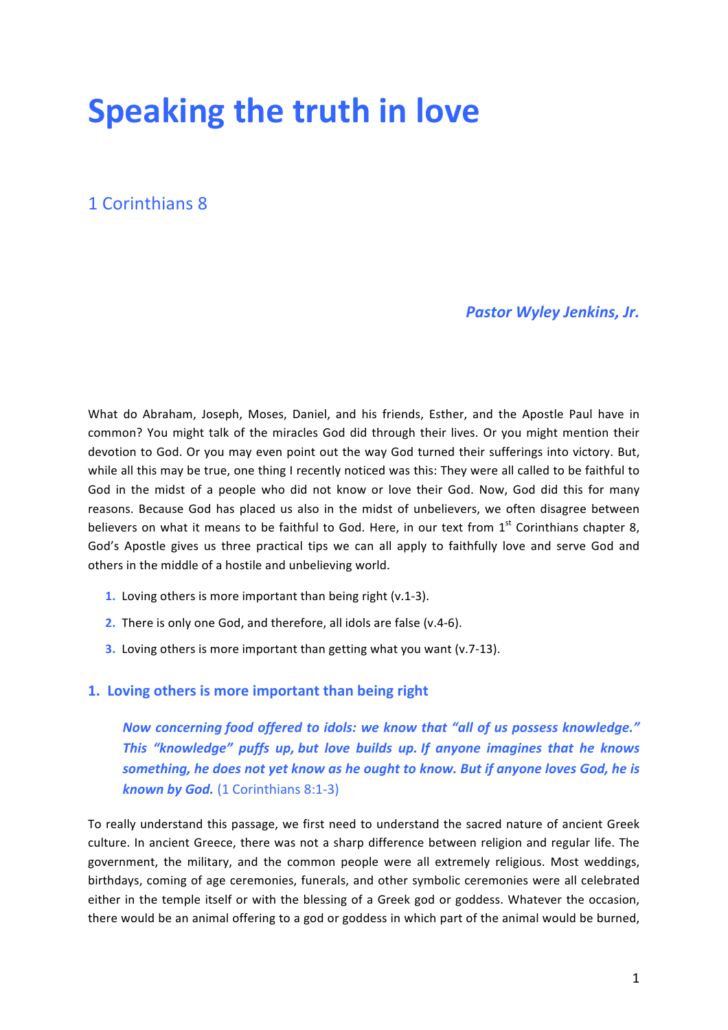# **Speaking the truth in love**

# 1 Corinthians 8

### **Pastor Wyley Jenkins, Jr.**

What do Abraham, Joseph, Moses, Daniel, and his friends, Esther, and the Apostle Paul have in common? You might talk of the miracles God did through their lives. Or you might mention their devotion to God. Or you may even point out the way God turned their sufferings into victory. But, while all this may be true, one thing I recently noticed was this: They were all called to be faithful to God in the midst of a people who did not know or love their God. Now, God did this for many reasons. Because God has placed us also in the midst of unbelievers, we often disagree between believers on what it means to be faithful to God. Here, in our text from  $1<sup>st</sup>$  Corinthians chapter 8, God's Apostle gives us three practical tips we can all apply to faithfully love and serve God and others in the middle of a hostile and unbelieving world.

- **1.** Loving others is more important than being right (v.1-3).
- **2.** There is only one God, and therefore, all idols are false (v.4-6).
- **3.** Loving others is more important than getting what you want (v.7-13).

## **1. Loving others is more important than being right**

*Now concerning food offered to idols: we know that "all of us possess knowledge." This* "knowledge" puffs up, but love builds up. If anyone imagines that he knows *something, he does not yet know as he ought to know. But if anyone loves God, he is* **known by God.** (1 Corinthians 8:1-3)

To really understand this passage, we first need to understand the sacred nature of ancient Greek culture. In ancient Greece, there was not a sharp difference between religion and regular life. The government, the military, and the common people were all extremely religious. Most weddings, birthdays, coming of age ceremonies, funerals, and other symbolic ceremonies were all celebrated either in the temple itself or with the blessing of a Greek god or goddess. Whatever the occasion, there would be an animal offering to a god or goddess in which part of the animal would be burned,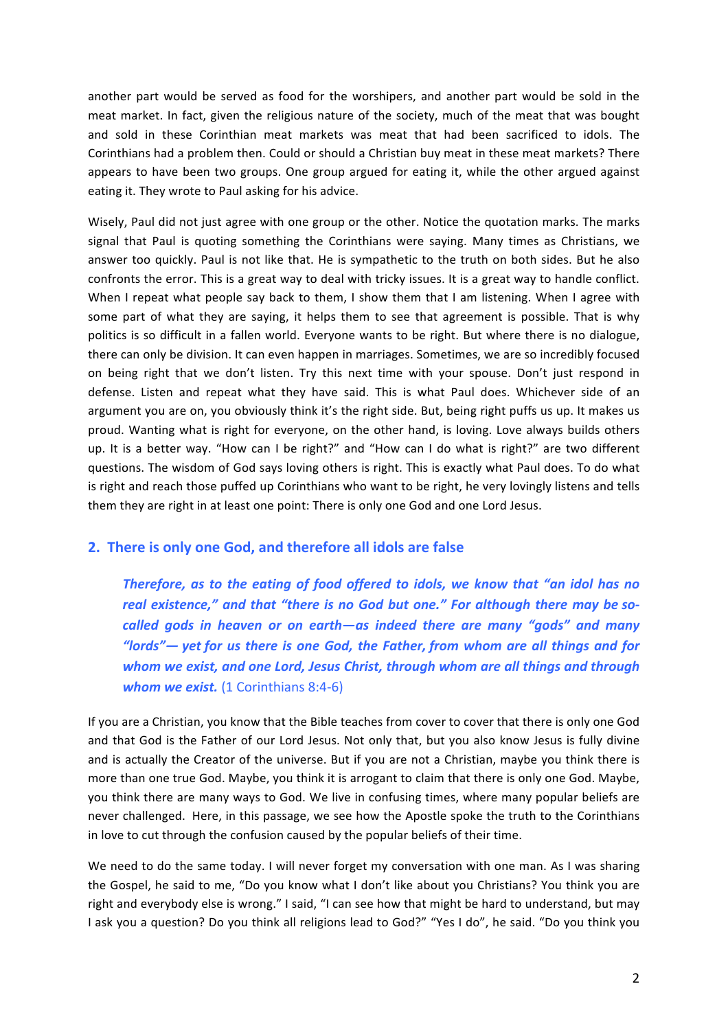another part would be served as food for the worshipers, and another part would be sold in the meat market. In fact, given the religious nature of the society, much of the meat that was bought and sold in these Corinthian meat markets was meat that had been sacrificed to idols. The Corinthians had a problem then. Could or should a Christian buy meat in these meat markets? There appears to have been two groups. One group argued for eating it, while the other argued against eating it. They wrote to Paul asking for his advice.

Wisely, Paul did not just agree with one group or the other. Notice the quotation marks. The marks signal that Paul is quoting something the Corinthians were saying. Many times as Christians, we answer too quickly. Paul is not like that. He is sympathetic to the truth on both sides. But he also confronts the error. This is a great way to deal with tricky issues. It is a great way to handle conflict. When I repeat what people say back to them, I show them that I am listening. When I agree with some part of what they are saying, it helps them to see that agreement is possible. That is why politics is so difficult in a fallen world. Everyone wants to be right. But where there is no dialogue, there can only be division. It can even happen in marriages. Sometimes, we are so incredibly focused on being right that we don't listen. Try this next time with your spouse. Don't just respond in defense. Listen and repeat what they have said. This is what Paul does. Whichever side of an argument you are on, you obviously think it's the right side. But, being right puffs us up. It makes us proud. Wanting what is right for everyone, on the other hand, is loving. Love always builds others up. It is a better way. "How can I be right?" and "How can I do what is right?" are two different questions. The wisdom of God says loving others is right. This is exactly what Paul does. To do what is right and reach those puffed up Corinthians who want to be right, he very lovingly listens and tells them they are right in at least one point: There is only one God and one Lord Jesus.

#### **2.** There is only one God, and therefore all idols are false

*Therefore, as to the eating of food offered to idols, we know that "an idol has no* real existence," and that "there is no God but one." For although there may be socalled gods in heaven or on earth—as indeed there are many "gods" and many *"lords"*— yet for us there is one God, the Father, from whom are all things and for *whom* we exist, and one Lord, Jesus Christ, through whom are all things and through *whom* we exist. (1 Corinthians 8:4-6)

If you are a Christian, you know that the Bible teaches from cover to cover that there is only one God and that God is the Father of our Lord Jesus. Not only that, but you also know Jesus is fully divine and is actually the Creator of the universe. But if you are not a Christian, maybe you think there is more than one true God. Maybe, you think it is arrogant to claim that there is only one God. Maybe, you think there are many ways to God. We live in confusing times, where many popular beliefs are never challenged. Here, in this passage, we see how the Apostle spoke the truth to the Corinthians in love to cut through the confusion caused by the popular beliefs of their time.

We need to do the same today. I will never forget my conversation with one man. As I was sharing the Gospel, he said to me, "Do you know what I don't like about you Christians? You think you are right and everybody else is wrong." I said, "I can see how that might be hard to understand, but may I ask you a question? Do you think all religions lead to God?" "Yes I do", he said. "Do you think you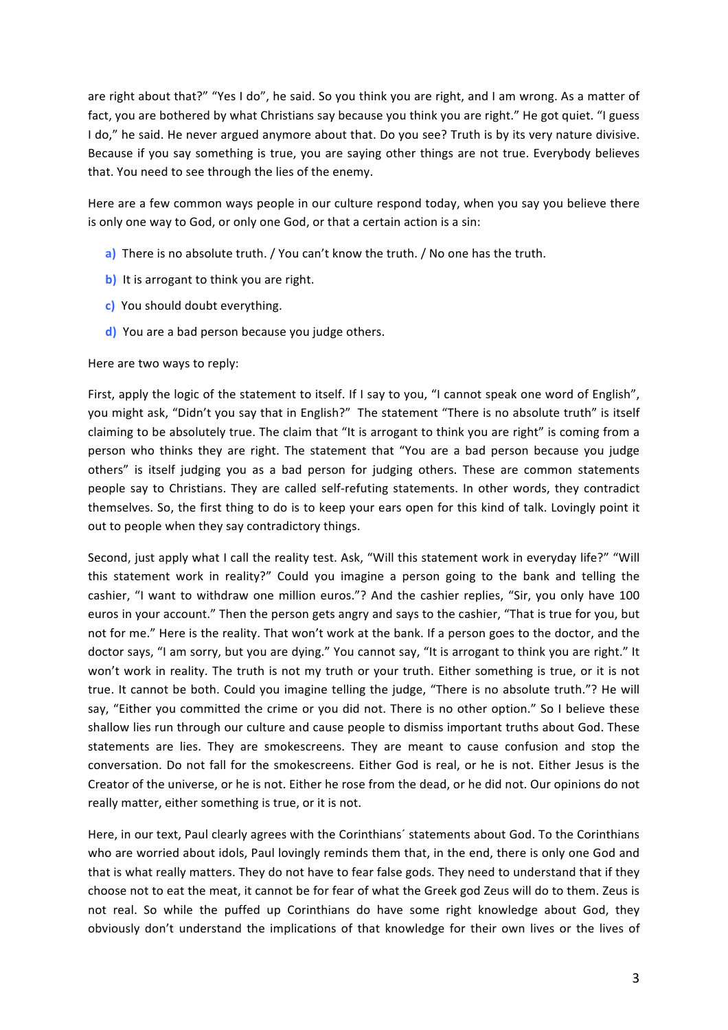are right about that?" "Yes I do", he said. So you think you are right, and I am wrong. As a matter of fact, you are bothered by what Christians say because you think you are right." He got quiet. "I guess I do," he said. He never argued anymore about that. Do you see? Truth is by its very nature divisive. Because if you say something is true, you are saying other things are not true. Everybody believes that. You need to see through the lies of the enemy.

Here are a few common ways people in our culture respond today, when you say you believe there is only one way to God, or only one God, or that a certain action is a sin:

- **a)** There is no absolute truth. / You can't know the truth. / No one has the truth.
- **b)** It is arrogant to think you are right.
- **c)** You should doubt everything.
- **d**) You are a bad person because you judge others.

Here are two ways to reply:

First, apply the logic of the statement to itself. If I say to you, "I cannot speak one word of English", you might ask, "Didn't you say that in English?" The statement "There is no absolute truth" is itself claiming to be absolutely true. The claim that "It is arrogant to think you are right" is coming from a person who thinks they are right. The statement that "You are a bad person because you judge others" is itself judging you as a bad person for judging others. These are common statements people say to Christians. They are called self-refuting statements. In other words, they contradict themselves. So, the first thing to do is to keep your ears open for this kind of talk. Lovingly point it out to people when they say contradictory things.

Second, just apply what I call the reality test. Ask, "Will this statement work in everyday life?" "Will this statement work in reality?" Could you imagine a person going to the bank and telling the cashier, "I want to withdraw one million euros."? And the cashier replies, "Sir, you only have 100 euros in your account." Then the person gets angry and says to the cashier, "That is true for you, but not for me." Here is the reality. That won't work at the bank. If a person goes to the doctor, and the doctor says, "I am sorry, but you are dying." You cannot say, "It is arrogant to think you are right." It won't work in reality. The truth is not my truth or your truth. Either something is true, or it is not true. It cannot be both. Could you imagine telling the judge, "There is no absolute truth."? He will say, "Either you committed the crime or you did not. There is no other option." So I believe these shallow lies run through our culture and cause people to dismiss important truths about God. These statements are lies. They are smokescreens. They are meant to cause confusion and stop the conversation. Do not fall for the smokescreens. Either God is real, or he is not. Either Jesus is the Creator of the universe, or he is not. Either he rose from the dead, or he did not. Our opinions do not really matter, either something is true, or it is not.

Here, in our text, Paul clearly agrees with the Corinthians' statements about God. To the Corinthians who are worried about idols, Paul lovingly reminds them that, in the end, there is only one God and that is what really matters. They do not have to fear false gods. They need to understand that if they choose not to eat the meat, it cannot be for fear of what the Greek god Zeus will do to them. Zeus is not real. So while the puffed up Corinthians do have some right knowledge about God, they obviously don't understand the implications of that knowledge for their own lives or the lives of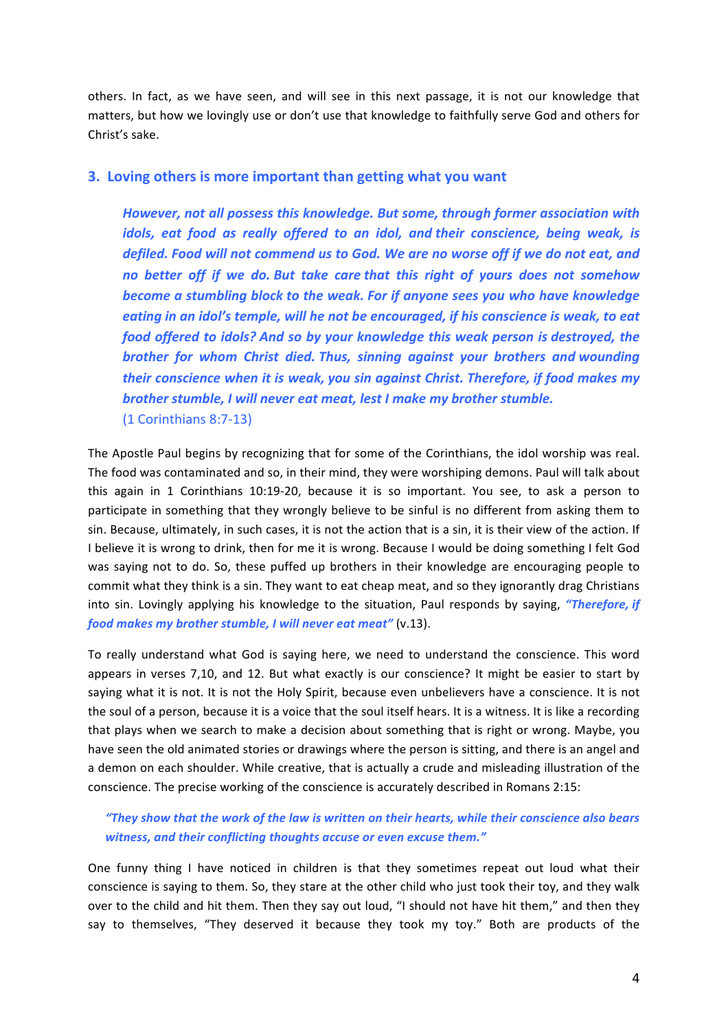others. In fact, as we have seen, and will see in this next passage, it is not our knowledge that matters, but how we lovingly use or don't use that knowledge to faithfully serve God and others for Christ's sake.

#### **3.** Loving others is more important than getting what you want

*However, not all possess this knowledge. But some, through former association with idols, eat food as really offered to an idol, and their conscience, being weak, is defiled. Food will not commend us to God. We are no worse off if we do not eat, and* no better off if we do. But take care *that* this right of yours does not somehow **become** a stumbling block to the weak. For if anyone sees you who have knowledge *eating in* an *idol's temple, will he not be encouraged, if his conscience is weak, to eat food offered to idols? And so by your knowledge this weak person is destroyed, the* **brother** for whom Christ died. Thus, sinning against your brothers and wounding *their conscience when it is weak, you sin against Christ. Therefore, if food makes my* **brother stumble, I will never eat meat, lest I make my brother stumble.** (1 Corinthians 8:7-13)

The Apostle Paul begins by recognizing that for some of the Corinthians, the idol worship was real. The food was contaminated and so, in their mind, they were worshiping demons. Paul will talk about this again in 1 Corinthians  $10:19-20$ , because it is so important. You see, to ask a person to participate in something that they wrongly believe to be sinful is no different from asking them to sin. Because, ultimately, in such cases, it is not the action that is a sin, it is their view of the action. If I believe it is wrong to drink, then for me it is wrong. Because I would be doing something I felt God was saying not to do. So, these puffed up brothers in their knowledge are encouraging people to commit what they think is a sin. They want to eat cheap meat, and so they ignorantly drag Christians into sin. Lovingly applying his knowledge to the situation, Paul responds by saying, "Therefore, if *food makes my brother stumble, I will never eat meat"* (v.13).

To really understand what God is saying here, we need to understand the conscience. This word appears in verses 7,10, and 12. But what exactly is our conscience? It might be easier to start by saying what it is not. It is not the Holy Spirit, because even unbelievers have a conscience. It is not the soul of a person, because it is a voice that the soul itself hears. It is a witness. It is like a recording that plays when we search to make a decision about something that is right or wrong. Maybe, you have seen the old animated stories or drawings where the person is sitting, and there is an angel and a demon on each shoulder. While creative, that is actually a crude and misleading illustration of the conscience. The precise working of the conscience is accurately described in Romans 2:15:

### *"They show that the work of the law is written on their hearts, while their conscience also bears*  witness, and their conflicting thoughts accuse or even excuse them."

One funny thing I have noticed in children is that they sometimes repeat out loud what their conscience is saying to them. So, they stare at the other child who just took their toy, and they walk over to the child and hit them. Then they say out loud, "I should not have hit them," and then they say to themselves, "They deserved it because they took my toy." Both are products of the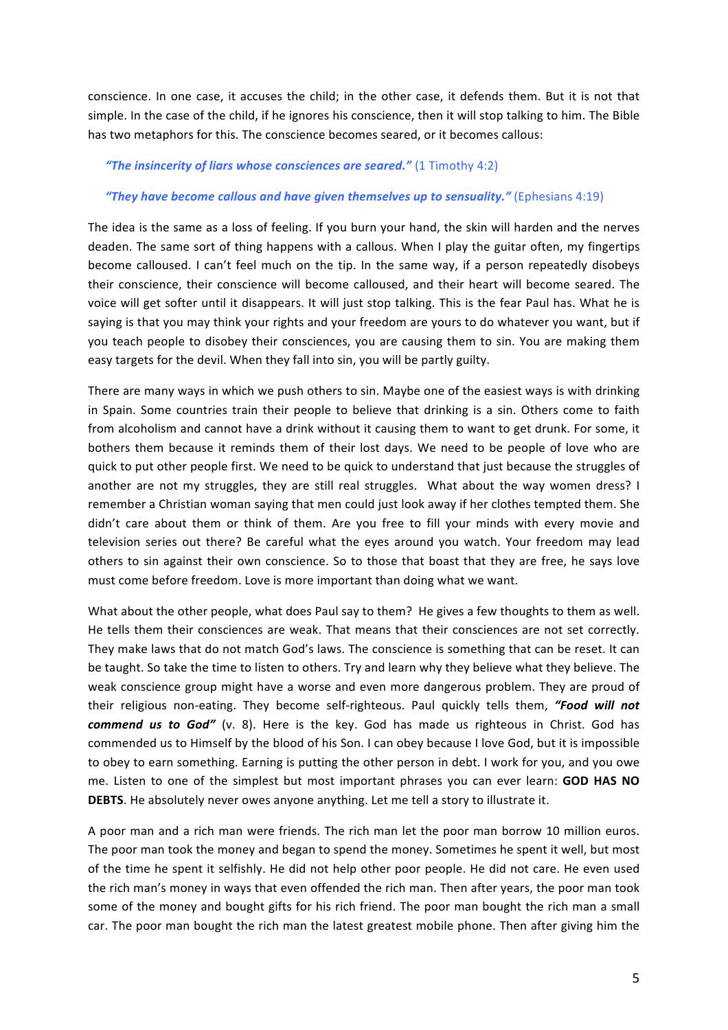conscience. In one case, it accuses the child; in the other case, it defends them. But it is not that simple. In the case of the child, if he ignores his conscience, then it will stop talking to him. The Bible has two metaphors for this. The conscience becomes seared, or it becomes callous:

#### **"The insincerity of liars whose consciences are seared."** (1 Timothy 4:2)

#### "They have become callous and have given themselves up to sensuality." (Ephesians 4:19)

The idea is the same as a loss of feeling. If you burn your hand, the skin will harden and the nerves deaden. The same sort of thing happens with a callous. When I play the guitar often, my fingertips become calloused. I can't feel much on the tip. In the same way, if a person repeatedly disobeys their conscience, their conscience will become calloused, and their heart will become seared. The voice will get softer until it disappears. It will just stop talking. This is the fear Paul has. What he is saying is that you may think your rights and your freedom are yours to do whatever you want, but if you teach people to disobey their consciences, you are causing them to sin. You are making them easy targets for the devil. When they fall into sin, you will be partly guilty.

There are many ways in which we push others to sin. Maybe one of the easiest ways is with drinking in Spain. Some countries train their people to believe that drinking is a sin. Others come to faith from alcoholism and cannot have a drink without it causing them to want to get drunk. For some, it bothers them because it reminds them of their lost days. We need to be people of love who are quick to put other people first. We need to be quick to understand that just because the struggles of another are not my struggles, they are still real struggles. What about the way women dress? I remember a Christian woman saying that men could just look away if her clothes tempted them. She didn't care about them or think of them. Are you free to fill your minds with every movie and television series out there? Be careful what the eyes around you watch. Your freedom may lead others to sin against their own conscience. So to those that boast that they are free, he says love must come before freedom. Love is more important than doing what we want.

What about the other people, what does Paul say to them? He gives a few thoughts to them as well. He tells them their consciences are weak. That means that their consciences are not set correctly. They make laws that do not match God's laws. The conscience is something that can be reset. It can be taught. So take the time to listen to others. Try and learn why they believe what they believe. The weak conscience group might have a worse and even more dangerous problem. They are proud of their religious non-eating. They become self-righteous. Paul quickly tells them, "Food will not *commend* us to God" (v. 8). Here is the key. God has made us righteous in Christ. God has commended us to Himself by the blood of his Son. I can obey because I love God, but it is impossible to obey to earn something. Earning is putting the other person in debt. I work for you, and you owe me. Listen to one of the simplest but most important phrases you can ever learn: **GOD HAS NO DEBTS**. He absolutely never owes anyone anything. Let me tell a story to illustrate it.

A poor man and a rich man were friends. The rich man let the poor man borrow 10 million euros. The poor man took the money and began to spend the money. Sometimes he spent it well, but most of the time he spent it selfishly. He did not help other poor people. He did not care. He even used the rich man's money in ways that even offended the rich man. Then after years, the poor man took some of the money and bought gifts for his rich friend. The poor man bought the rich man a small car. The poor man bought the rich man the latest greatest mobile phone. Then after giving him the